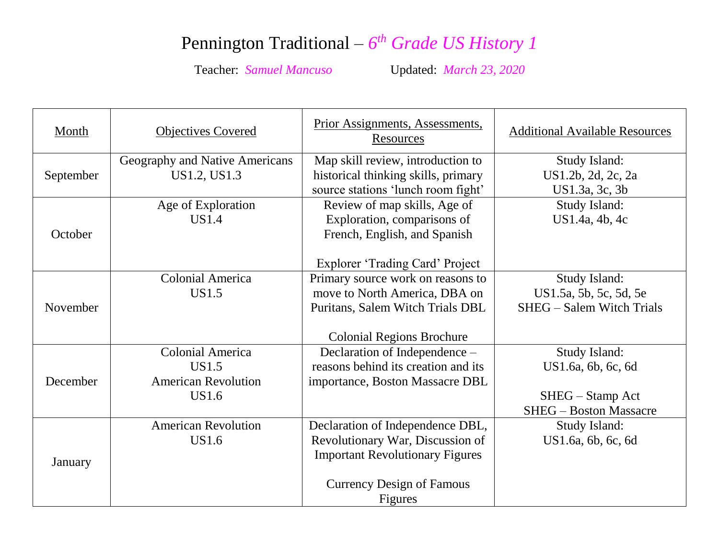## Pennington Traditional –  $6<sup>th</sup>$  *Grade US History 1*

Teacher: *Samuel Mancuso* Updated: *March 23, 2020*

| Month     | <b>Objectives Covered</b>                                                      | Prior Assignments, Assessments,<br>Resources                                                                                                                  | <b>Additional Available Resources</b>                                                    |
|-----------|--------------------------------------------------------------------------------|---------------------------------------------------------------------------------------------------------------------------------------------------------------|------------------------------------------------------------------------------------------|
| September | Geography and Native Americans<br>US1.2, US1.3                                 | Map skill review, introduction to<br>historical thinking skills, primary<br>source stations 'lunch room fight'                                                | Study Island:<br>US1.2b, 2d, 2c, 2a<br>US1.3a, 3c, 3b                                    |
| October   | Age of Exploration<br>US1.4                                                    | Review of map skills, Age of<br>Exploration, comparisons of<br>French, English, and Spanish<br><b>Explorer 'Trading Card' Project</b>                         | Study Island:<br>US1.4a, 4b, 4c                                                          |
| November  | <b>Colonial America</b><br>US1.5                                               | Primary source work on reasons to<br>move to North America, DBA on<br>Puritans, Salem Witch Trials DBL<br><b>Colonial Regions Brochure</b>                    | Study Island:<br>US1.5a, 5b, 5c, 5d, 5e<br><b>SHEG</b> – Salem Witch Trials              |
| December  | <b>Colonial America</b><br>US1.5<br><b>American Revolution</b><br><b>US1.6</b> | Declaration of Independence -<br>reasons behind its creation and its<br>importance, Boston Massacre DBL                                                       | Study Island:<br>US1.6a, 6b, 6c, 6d<br>SHEG – Stamp Act<br><b>SHEG</b> - Boston Massacre |
| January   | <b>American Revolution</b><br>US1.6                                            | Declaration of Independence DBL,<br>Revolutionary War, Discussion of<br><b>Important Revolutionary Figures</b><br><b>Currency Design of Famous</b><br>Figures | Study Island:<br>US1.6a, 6b, 6c, 6d                                                      |